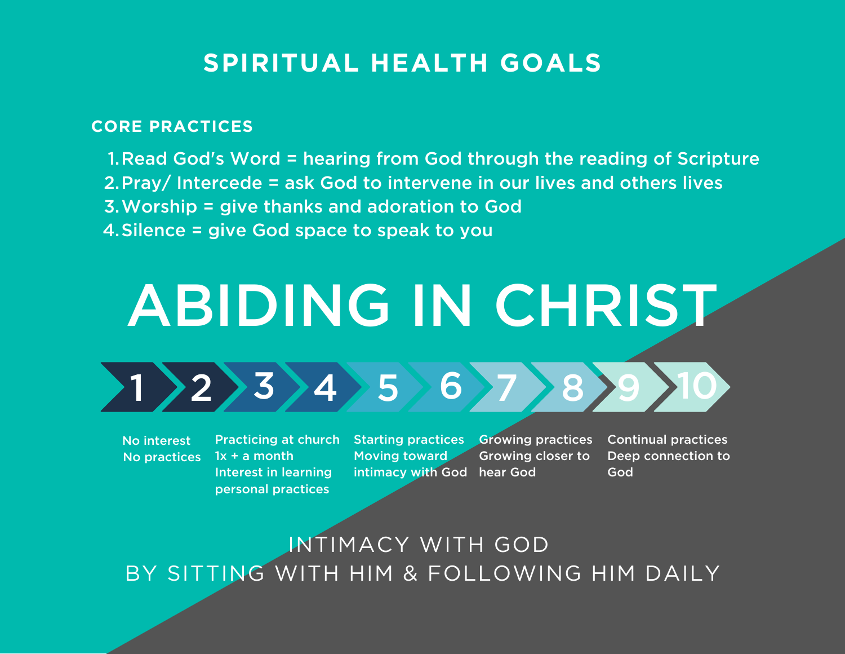## **SPIRITUAL HEALTH GOALS**

#### **CORE PRACTICES**

1. Read God's Word = hearing from God through the reading of Scripture 2. Pray/ Intercede = ask God to intervene in our lives and others lives Worship = give thanks and adoration to God 3. 4. Silence = give God space to speak to you

# ABIDING IN CHRIST



No interest No practices  $1x + a$  month Interest in learning personal practices

Practicing at church Starting practices Growing practices Moving toward intimacy with God hear God

Growing closer to

Continual practices Deep connection to God

INTIMACY WITH GOD BY SITTING WITH HIM & FOLLOWING HIM DAILY